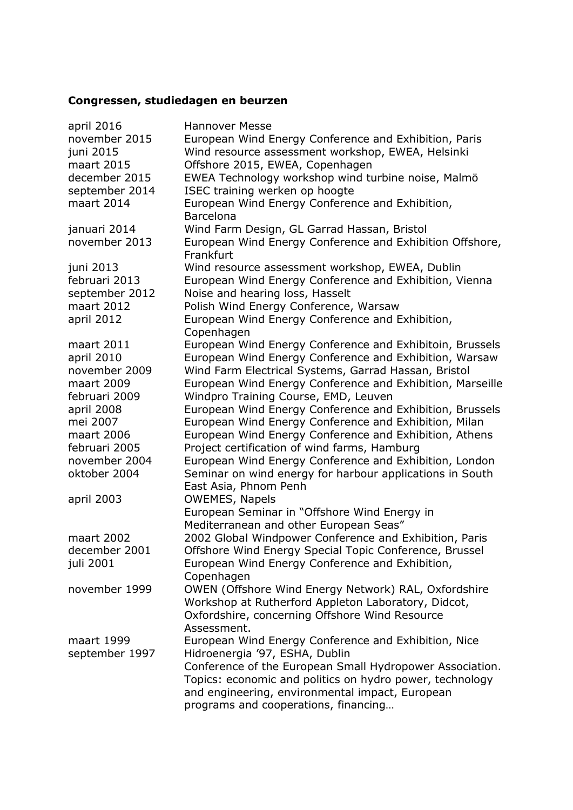## **Congressen, studiedagen en beurzen**

| april 2016     | <b>Hannover Messe</b>                                     |
|----------------|-----------------------------------------------------------|
| november 2015  | European Wind Energy Conference and Exhibition, Paris     |
| juni 2015      | Wind resource assessment workshop, EWEA, Helsinki         |
| maart 2015     | Offshore 2015, EWEA, Copenhagen                           |
| december 2015  | EWEA Technology workshop wind turbine noise, Malmö        |
| september 2014 | ISEC training werken op hoogte                            |
| maart 2014     | European Wind Energy Conference and Exhibition,           |
|                | <b>Barcelona</b>                                          |
| januari 2014   | Wind Farm Design, GL Garrad Hassan, Bristol               |
| november 2013  | European Wind Energy Conference and Exhibition Offshore,  |
|                | Frankfurt                                                 |
| juni 2013      | Wind resource assessment workshop, EWEA, Dublin           |
| februari 2013  | European Wind Energy Conference and Exhibition, Vienna    |
| september 2012 | Noise and hearing loss, Hasselt                           |
| maart 2012     | Polish Wind Energy Conference, Warsaw                     |
| april 2012     | European Wind Energy Conference and Exhibition,           |
|                | Copenhagen                                                |
| maart 2011     | European Wind Energy Conference and Exhibitoin, Brussels  |
| april 2010     | European Wind Energy Conference and Exhibition, Warsaw    |
| november 2009  | Wind Farm Electrical Systems, Garrad Hassan, Bristol      |
| maart 2009     | European Wind Energy Conference and Exhibition, Marseille |
| februari 2009  | Windpro Training Course, EMD, Leuven                      |
| april 2008     | European Wind Energy Conference and Exhibition, Brussels  |
| mei 2007       | European Wind Energy Conference and Exhibition, Milan     |
| maart 2006     | European Wind Energy Conference and Exhibition, Athens    |
| februari 2005  | Project certification of wind farms, Hamburg              |
| november 2004  | European Wind Energy Conference and Exhibition, London    |
| oktober 2004   | Seminar on wind energy for harbour applications in South  |
|                | East Asia, Phnom Penh                                     |
| april 2003     | <b>OWEMES, Napels</b>                                     |
|                | European Seminar in "Offshore Wind Energy in              |
|                | Mediterranean and other European Seas"                    |
| maart 2002     | 2002 Global Windpower Conference and Exhibition, Paris    |
| december 2001  | Offshore Wind Energy Special Topic Conference, Brussel    |
| juli 2001      | European Wind Energy Conference and Exhibition,           |
|                | Copenhagen                                                |
|                |                                                           |
| november 1999  | OWEN (Offshore Wind Energy Network) RAL, Oxfordshire      |
|                | Workshop at Rutherford Appleton Laboratory, Didcot,       |
|                | Oxfordshire, concerning Offshore Wind Resource            |
|                | Assessment.                                               |
| maart 1999     | European Wind Energy Conference and Exhibition, Nice      |
| september 1997 | Hidroenergia '97, ESHA, Dublin                            |
|                | Conference of the European Small Hydropower Association.  |
|                | Topics: economic and politics on hydro power, technology  |
|                | and engineering, environmental impact, European           |
|                | programs and cooperations, financing                      |